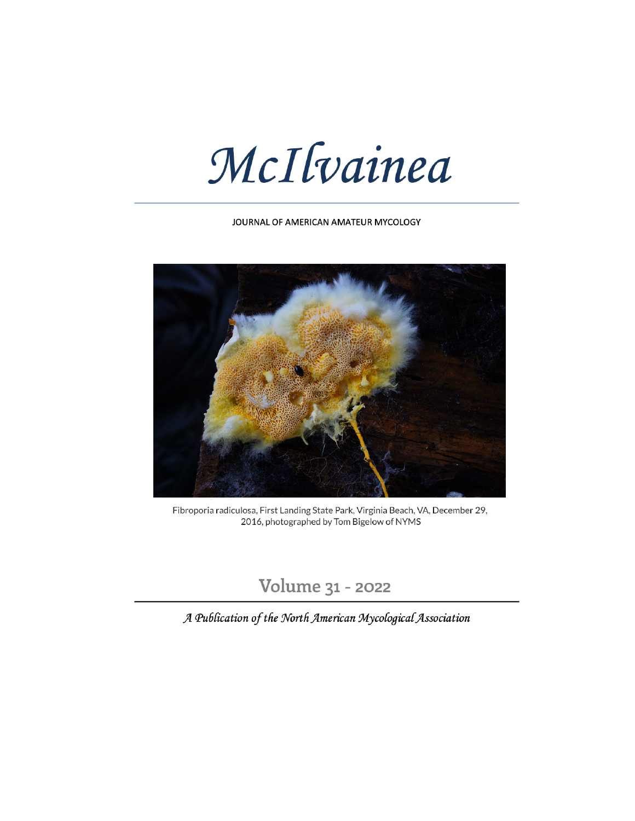McIlvainea

JOURNAL OF AMERICAN AMATEUR MYCOLOGY



Fibroporia radiculosa, First Landing State Park, Virginia Beach, VA, December 29, 2016, photographed by Tom Bigelow of NYMS

Volume 31 - 2022

A Publication of the North American Mycological Association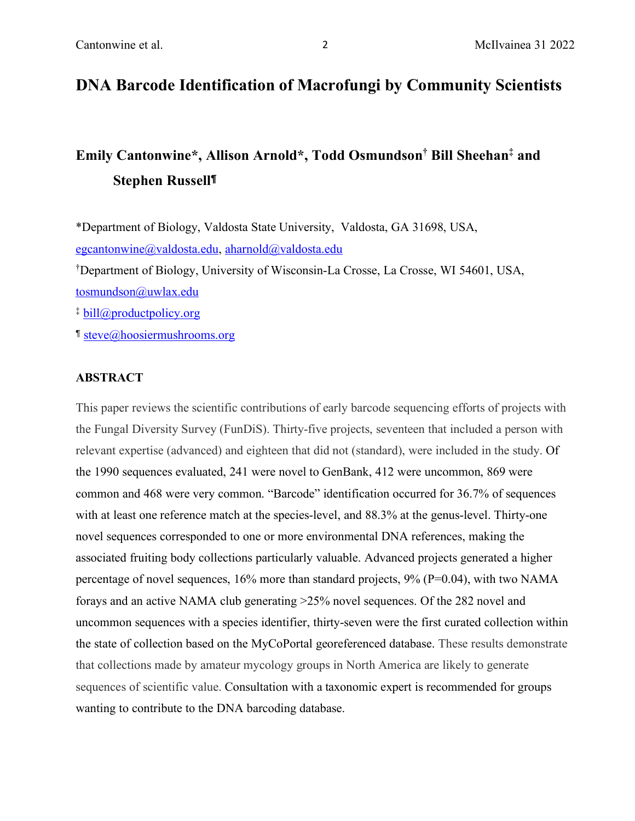# **DNA Barcode Identification of Macrofungi by Community Scientists**

# **Emily Cantonwine\* , Allison Arnold\* , Todd Osmundson† Bill Sheehan‡ and Stephen Russell**¶

\*Department of Biology, Valdosta State University, Valdosta, GA 31698, USA, egcantonwine@valdosta.edu, aharnold@valdosta.edu † Department of Biology, University of Wisconsin-La Crosse, La Crosse, WI 54601, USA, tosmundson@uwlax.edu ‡ bill@productpolicy.org

¶ steve@hoosiermushrooms.org

### **ABSTRACT**

This paper reviews the scientific contributions of early barcode sequencing efforts of projects with the Fungal Diversity Survey (FunDiS). Thirty-five projects, seventeen that included a person with relevant expertise (advanced) and eighteen that did not (standard), were included in the study. Of the 1990 sequences evaluated, 241 were novel to GenBank, 412 were uncommon, 869 were common and 468 were very common. "Barcode" identification occurred for 36.7% of sequences with at least one reference match at the species-level, and 88.3% at the genus-level. Thirty-one novel sequences corresponded to one or more environmental DNA references, making the associated fruiting body collections particularly valuable. Advanced projects generated a higher percentage of novel sequences, 16% more than standard projects, 9% (P=0.04), with two NAMA forays and an active NAMA club generating >25% novel sequences. Of the 282 novel and uncommon sequences with a species identifier, thirty-seven were the first curated collection within the state of collection based on the MyCoPortal georeferenced database. These results demonstrate that collections made by amateur mycology groups in North America are likely to generate sequences of scientific value. Consultation with a taxonomic expert is recommended for groups wanting to contribute to the DNA barcoding database.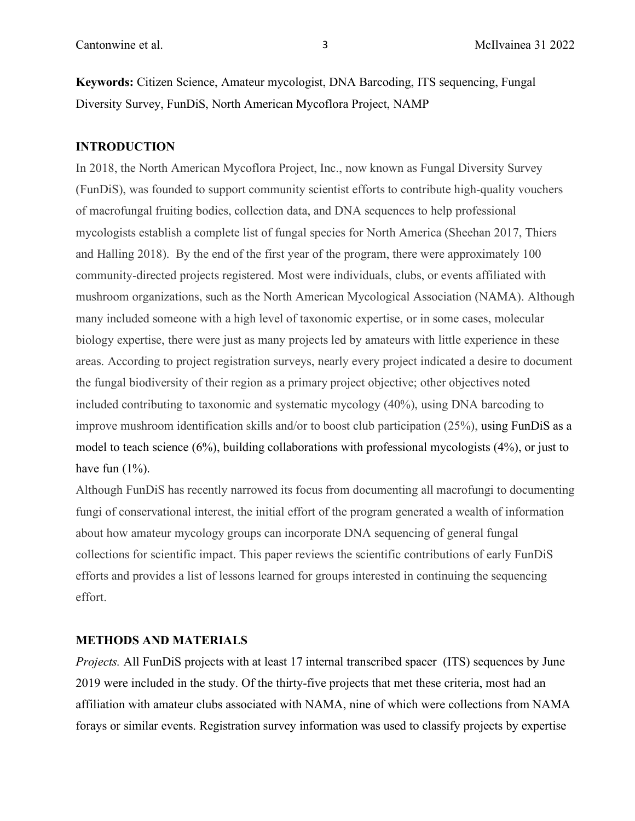**Keywords:** Citizen Science, Amateur mycologist, DNA Barcoding, ITS sequencing, Fungal Diversity Survey, FunDiS, North American Mycoflora Project, NAMP

#### **INTRODUCTION**

In 2018, the North American Mycoflora Project, Inc., now known as Fungal Diversity Survey (FunDiS), was founded to support community scientist efforts to contribute high-quality vouchers of macrofungal fruiting bodies, collection data, and DNA sequences to help professional mycologists establish a complete list of fungal species for North America (Sheehan 2017, Thiers and Halling 2018). By the end of the first year of the program, there were approximately 100 community-directed projects registered. Most were individuals, clubs, or events affiliated with mushroom organizations, such as the North American Mycological Association (NAMA). Although many included someone with a high level of taxonomic expertise, or in some cases, molecular biology expertise, there were just as many projects led by amateurs with little experience in these areas. According to project registration surveys, nearly every project indicated a desire to document the fungal biodiversity of their region as a primary project objective; other objectives noted included contributing to taxonomic and systematic mycology (40%), using DNA barcoding to improve mushroom identification skills and/or to boost club participation (25%), using FunDiS as a model to teach science (6%), building collaborations with professional mycologists (4%), or just to have fun  $(1\%)$ .

Although FunDiS has recently narrowed its focus from documenting all macrofungi to documenting fungi of conservational interest, the initial effort of the program generated a wealth of information about how amateur mycology groups can incorporate DNA sequencing of general fungal collections for scientific impact. This paper reviews the scientific contributions of early FunDiS efforts and provides a list of lessons learned for groups interested in continuing the sequencing effort.

# **METHODS AND MATERIALS**

*Projects.* All FunDiS projects with at least 17 internal transcribed spacer (ITS) sequences by June 2019 were included in the study. Of the thirty-five projects that met these criteria, most had an affiliation with amateur clubs associated with NAMA, nine of which were collections from NAMA forays or similar events. Registration survey information was used to classify projects by expertise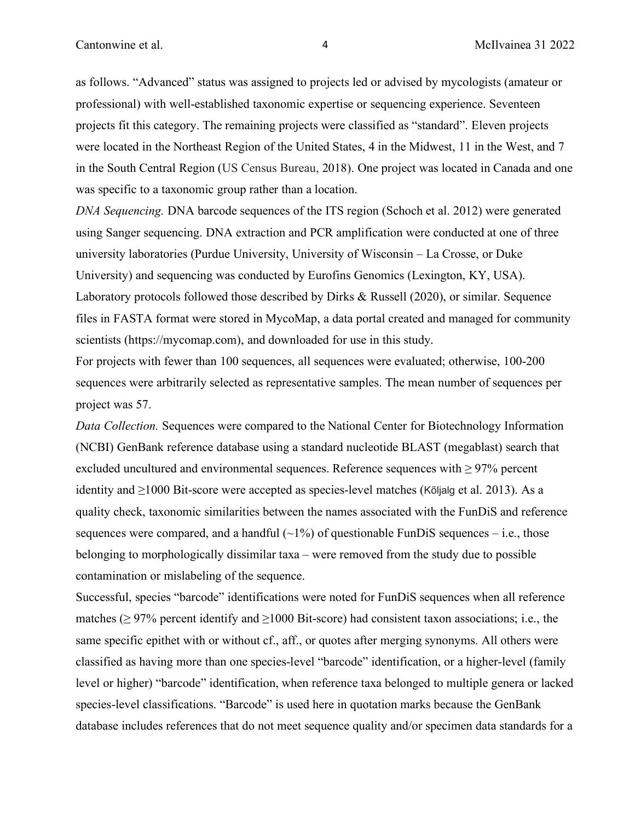as follows. "Advanced" status was assigned to projects led or advised by mycologists (amateur or professional) with well-established taxonomic expertise or sequencing experience. Seventeen projects fit this category. The remaining projects were classified as "standard". Eleven projects were located in the Northeast Region of the United States, 4 in the Midwest, 11 in the West, and 7 in the South Central Region (US Census Bureau, 2018). One project was located in Canada and one was specific to a taxonomic group rather than a location.

*DNA Sequencing.* DNA barcode sequences of the ITS region (Schoch et al. 2012) were generated using Sanger sequencing. DNA extraction and PCR amplification were conducted at one of three university laboratories (Purdue University, University of Wisconsin – La Crosse, or Duke University) and sequencing was conducted by Eurofins Genomics (Lexington, KY, USA). Laboratory protocols followed those described by Dirks & Russell (2020), or similar. Sequence files in FASTA format were stored in MycoMap, a data portal created and managed for community scientists (https://mycomap.com), and downloaded for use in this study.

For projects with fewer than 100 sequences, all sequences were evaluated; otherwise, 100-200 sequences were arbitrarily selected as representative samples. The mean number of sequences per project was 57.

*Data Collection.* Sequences were compared to the National Center for Biotechnology Information (NCBI) GenBank reference database using a standard nucleotide BLAST (megablast) search that excluded uncultured and environmental sequences. Reference sequences with  $\geq$  97% percent identity and ≥1000 Bit-score were accepted as species-level matches (Kõljalg et al. 2013). As a quality check, taxonomic similarities between the names associated with the FunDiS and reference sequences were compared, and a handful  $(\sim 1\%)$  of questionable FunDiS sequences – i.e., those belonging to morphologically dissimilar taxa – were removed from the study due to possible contamination or mislabeling of the sequence.

Successful, species "barcode" identifications were noted for FunDiS sequences when all reference matches ( $\geq$  97% percent identify and  $\geq$ 1000 Bit-score) had consistent taxon associations; i.e., the same specific epithet with or without cf., aff., or quotes after merging synonyms. All others were classified as having more than one species-level "barcode" identification, or a higher-level (family level or higher) "barcode" identification, when reference taxa belonged to multiple genera or lacked species-level classifications. "Barcode" is used here in quotation marks because the GenBank database includes references that do not meet sequence quality and/or specimen data standards for a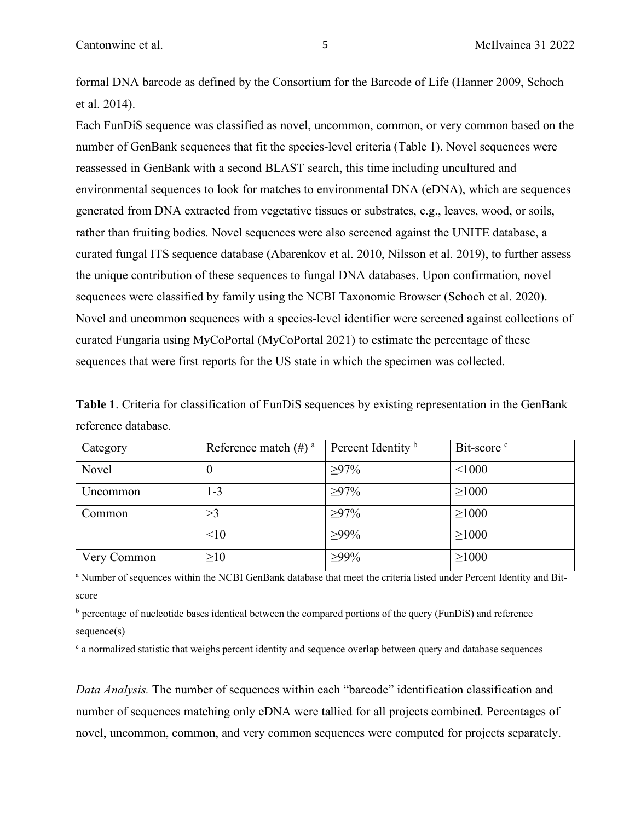formal DNA barcode as defined by the Consortium for the Barcode of Life (Hanner 2009, Schoch et al. 2014).

Each FunDiS sequence was classified as novel, uncommon, common, or very common based on the number of GenBank sequences that fit the species-level criteria (Table 1). Novel sequences were reassessed in GenBank with a second BLAST search, this time including uncultured and environmental sequences to look for matches to environmental DNA (eDNA), which are sequences generated from DNA extracted from vegetative tissues or substrates, e.g., leaves, wood, or soils, rather than fruiting bodies. Novel sequences were also screened against the UNITE database, a curated fungal ITS sequence database (Abarenkov et al. 2010, Nilsson et al. 2019), to further assess the unique contribution of these sequences to fungal DNA databases. Upon confirmation, novel sequences were classified by family using the NCBI Taxonomic Browser (Schoch et al. 2020). Novel and uncommon sequences with a species-level identifier were screened against collections of curated Fungaria using MyCoPortal (MyCoPortal 2021) to estimate the percentage of these sequences that were first reports for the US state in which the specimen was collected.

**Table 1**. Criteria for classification of FunDiS sequences by existing representation in the GenBank reference database.

| Category    | Reference match $(\#)$ <sup>a</sup> | Percent Identity <sup>b</sup> | Bit-score <sup>c</sup> |
|-------------|-------------------------------------|-------------------------------|------------------------|
| Novel       | $\theta$                            | $\geq 97\%$                   | < 1000                 |
| Uncommon    | $1 - 3$                             | $>97\%$                       | $\geq 1000$            |
| Common      | >3                                  | $\geq 97\%$                   | $\geq 1000$            |
|             | <10                                 | $>99\%$                       | $\geq 1000$            |
| Very Common | $\geq 10$                           | $>99\%$                       | $\geq 1000$            |

<sup>a</sup> Number of sequences within the NCBI GenBank database that meet the criteria listed under Percent Identity and Bitscore

 $\beta$  percentage of nucleotide bases identical between the compared portions of the query (FunDiS) and reference sequence(s)

<sup>c</sup> a normalized statistic that weighs percent identity and sequence overlap between query and database sequences

*Data Analysis.* The number of sequences within each "barcode" identification classification and number of sequences matching only eDNA were tallied for all projects combined. Percentages of novel, uncommon, common, and very common sequences were computed for projects separately.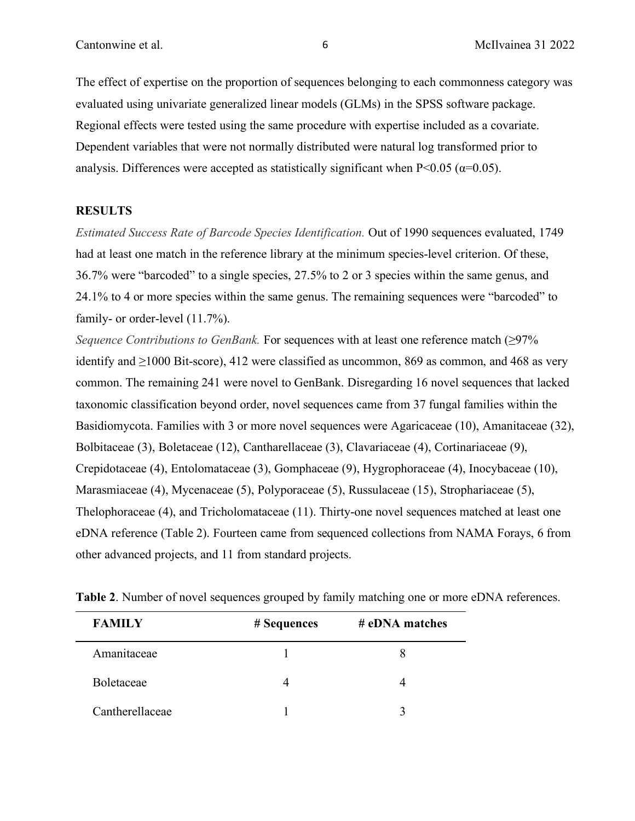The effect of expertise on the proportion of sequences belonging to each commonness category was evaluated using univariate generalized linear models (GLMs) in the SPSS software package. Regional effects were tested using the same procedure with expertise included as a covariate. Dependent variables that were not normally distributed were natural log transformed prior to analysis. Differences were accepted as statistically significant when  $P<0.05$  ( $\alpha=0.05$ ).

# **RESULTS**

*Estimated Success Rate of Barcode Species Identification.* Out of 1990 sequences evaluated, 1749 had at least one match in the reference library at the minimum species-level criterion. Of these, 36.7% were "barcoded" to a single species, 27.5% to 2 or 3 species within the same genus, and 24.1% to 4 or more species within the same genus. The remaining sequences were "barcoded" to family- or order-level  $(11.7\%)$ .

*Sequence Contributions to GenBank.* For sequences with at least one reference match (≥97% identify and  $\geq$ 1000 Bit-score), 412 were classified as uncommon, 869 as common, and 468 as very common. The remaining 241 were novel to GenBank. Disregarding 16 novel sequences that lacked taxonomic classification beyond order, novel sequences came from 37 fungal families within the Basidiomycota. Families with 3 or more novel sequences were Agaricaceae (10), Amanitaceae (32), Bolbitaceae (3), Boletaceae (12), Cantharellaceae (3), Clavariaceae (4), Cortinariaceae (9), Crepidotaceae (4), Entolomataceae (3), Gomphaceae (9), Hygrophoraceae (4), Inocybaceae (10), Marasmiaceae (4), Mycenaceae (5), Polyporaceae (5), Russulaceae (15), Strophariaceae (5), Thelophoraceae (4), and Tricholomataceae (11). Thirty-one novel sequences matched at least one eDNA reference (Table 2). Fourteen came from sequenced collections from NAMA Forays, 6 from other advanced projects, and 11 from standard projects.

| <b>FAMILY</b>   | # Sequences | # eDNA matches |
|-----------------|-------------|----------------|
| Amanitaceae     |             |                |
| Boletaceae      |             |                |
| Cantherellaceae |             |                |

**Table 2**. Number of novel sequences grouped by family matching one or more eDNA references.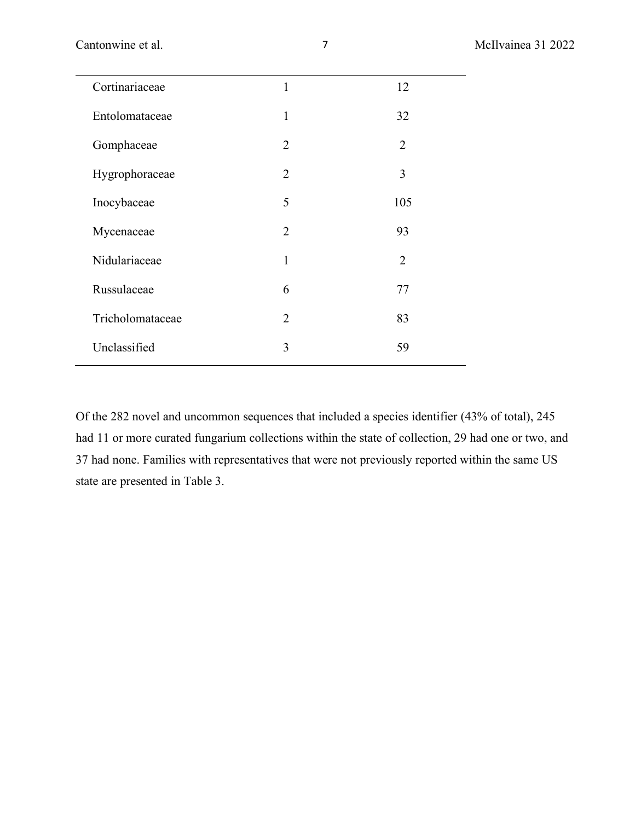| Cortinariaceae   | 1              | 12             |
|------------------|----------------|----------------|
| Entolomataceae   | $\mathbf{1}$   | 32             |
| Gomphaceae       | $\overline{2}$ | $\overline{2}$ |
| Hygrophoraceae   | $\overline{2}$ | 3              |
| Inocybaceae      | 5              | 105            |
| Mycenaceae       | $\overline{2}$ | 93             |
| Nidulariaceae    | $\mathbf{1}$   | $\overline{2}$ |
| Russulaceae      | 6              | 77             |
| Tricholomataceae | $\overline{2}$ | 83             |
| Unclassified     | 3              | 59             |
|                  |                |                |

Of the 282 novel and uncommon sequences that included a species identifier (43% of total), 245 had 11 or more curated fungarium collections within the state of collection, 29 had one or two, and 37 had none. Families with representatives that were not previously reported within the same US state are presented in Table 3.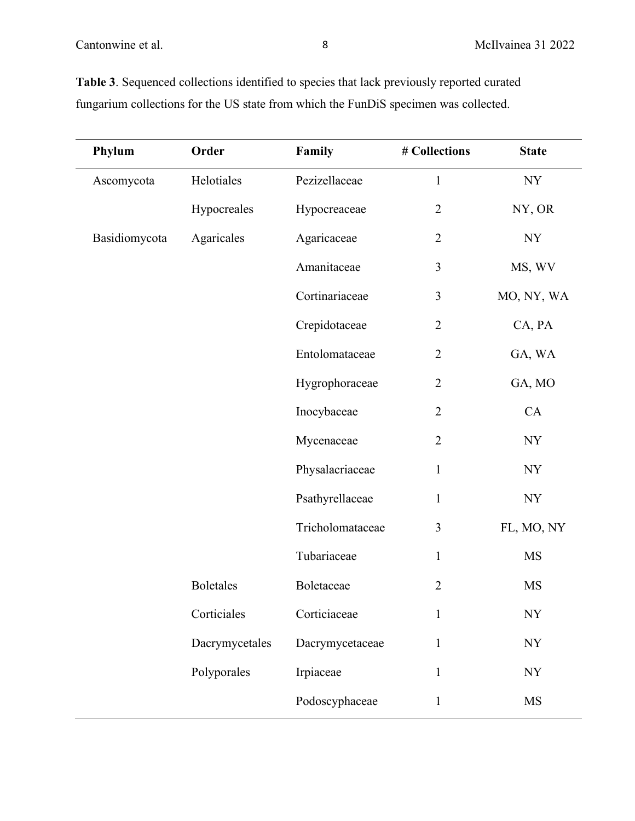| Phylum        | Order            | Family           | # Collections  | <b>State</b>             |
|---------------|------------------|------------------|----------------|--------------------------|
| Ascomycota    | Helotiales       | Pezizellaceae    | $\mathbf{1}$   | $\ensuremath{\text{NY}}$ |
|               | Hypocreales      | Hypocreaceae     | $\overline{2}$ | NY, OR                   |
| Basidiomycota | Agaricales       | Agaricaceae      | $\sqrt{2}$     | <b>NY</b>                |
|               |                  | Amanitaceae      | 3              | MS, WV                   |
|               |                  | Cortinariaceae   | $\overline{3}$ | MO, NY, WA               |
|               |                  | Crepidotaceae    | $\overline{2}$ | CA, PA                   |
|               |                  | Entolomataceae   | $\overline{2}$ | GA, WA                   |
|               |                  | Hygrophoraceae   | $\overline{2}$ | GA, MO                   |
|               |                  | Inocybaceae      | $\overline{2}$ | CA                       |
|               |                  | Mycenaceae       | $\overline{2}$ | <b>NY</b>                |
|               |                  | Physalacriaceae  | $\mathbf{1}$   | <b>NY</b>                |
|               |                  | Psathyrellaceae  | $\mathbf{1}$   | $\ensuremath{\text{NY}}$ |
|               |                  | Tricholomataceae | 3              | FL, MO, NY               |
|               |                  | Tubariaceae      | $\mathbf{1}$   | <b>MS</b>                |
|               | <b>Boletales</b> | Boletaceae       | $\overline{2}$ | <b>MS</b>                |
|               | Corticiales      | Corticiaceae     | 1              | NY                       |
|               | Dacrymycetales   | Dacrymycetaceae  | $\mathbf{1}$   | <b>NY</b>                |
|               | Polyporales      | Irpiaceae        | $\mathbf{1}$   | $\ensuremath{\text{NY}}$ |
|               |                  | Podoscyphaceae   | $\mathbf{1}$   | <b>MS</b>                |

**Table 3**. Sequenced collections identified to species that lack previously reported curated fungarium collections for the US state from which the FunDiS specimen was collected.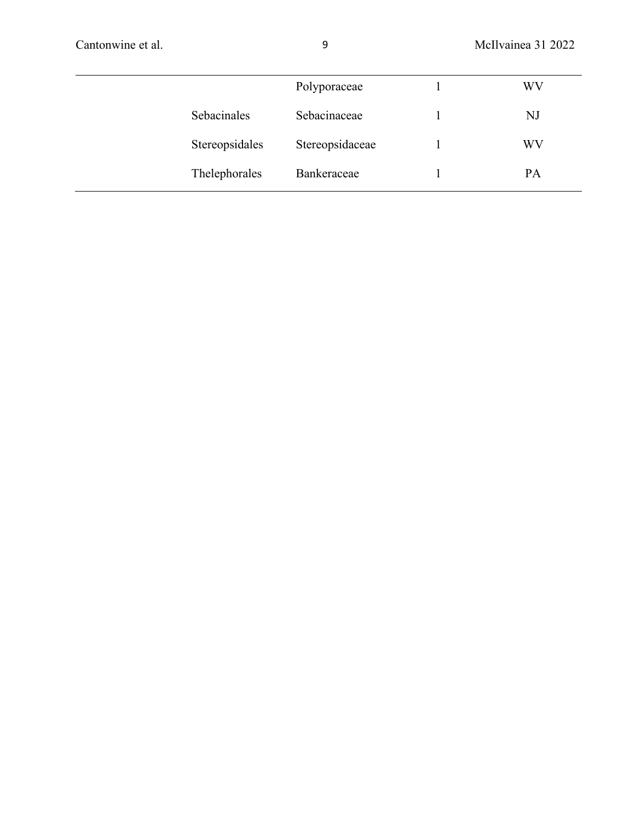|                | Polyporaceae    | WV |
|----------------|-----------------|----|
| Sebacinales    | Sebacinaceae    | NJ |
| Stereopsidales | Stereopsidaceae | WV |
| Thelephorales  | Bankeraceae     | PA |
|                |                 |    |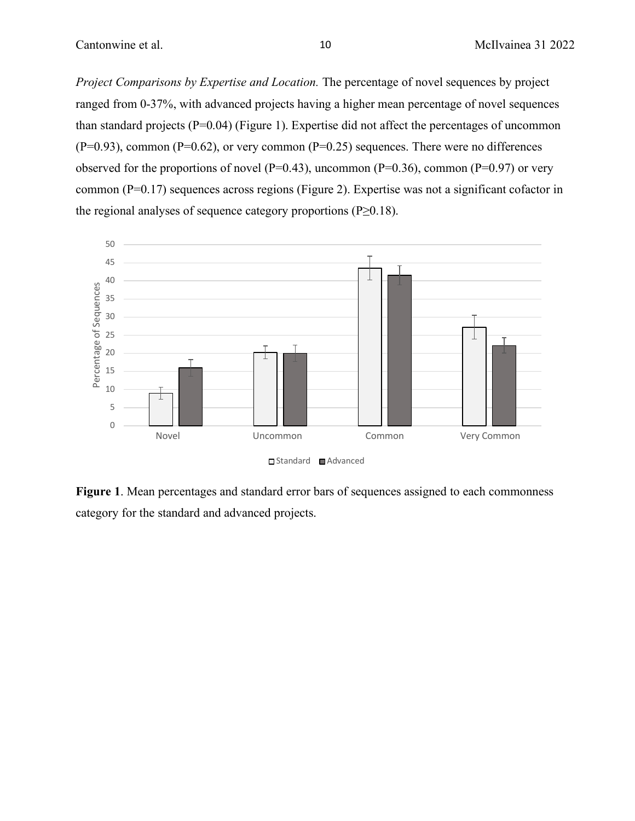*Project Comparisons by Expertise and Location.* The percentage of novel sequences by project ranged from 0-37%, with advanced projects having a higher mean percentage of novel sequences than standard projects  $(P=0.04)$  (Figure 1). Expertise did not affect the percentages of uncommon  $(P=0.93)$ , common  $(P=0.62)$ , or very common  $(P=0.25)$  sequences. There were no differences observed for the proportions of novel ( $P=0.43$ ), uncommon ( $P=0.36$ ), common ( $P=0.97$ ) or very common (P=0.17) sequences across regions (Figure 2). Expertise was not a significant cofactor in the regional analyses of sequence category proportions (P≥0.18).



**Figure 1**. Mean percentages and standard error bars of sequences assigned to each commonness category for the standard and advanced projects.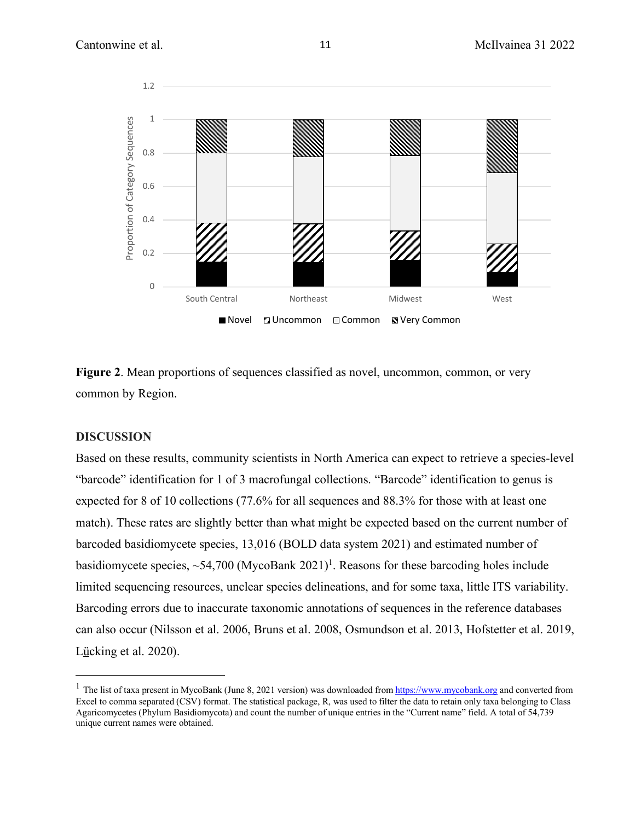

Figure 2. Mean proportions of sequences classified as novel, uncommon, common, or very common by Region.

### **DISCUSSION**

Based on these results, community scientists in North America can expect to retrieve a species-level "barcode" identification for 1 of 3 macrofungal collections. "Barcode" identification to genus is expected for 8 of 10 collections (77.6% for all sequences and 88.3% for those with at least one match). These rates are slightly better than what might be expected based on the current number of barcoded basidiomycete species, 13,016 (BOLD data system 2021) and estimated number of basidiomycete species,  $\sim$ 54,700 (MycoBank 2021)<sup>1</sup>. Reasons for these barcoding holes include limited sequencing resources, unclear species delineations, and for some taxa, little ITS variability. Barcoding errors due to inaccurate taxonomic annotations of sequences in the reference databases can also occur (Nilsson et al. 2006, Bruns et al. 2008, Osmundson et al. 2013, Hofstetter et al. 2019, Lücking et al. 2020).

<sup>&</sup>lt;sup>1</sup> The list of taxa present in MycoBank (June 8, 2021 version) was downloaded from  $\frac{https://www.mycobank.org}{https://www.mycobank.org}$  and converted from Excel to comma separated (CSV) format. The statistical package, R, was used to filter the data to retain only taxa belonging to Class Agaricomycetes (Phylum Basidiomycota) and count the number of unique entries in the "Current name" field. A total of 54,739 unique current names were obtained.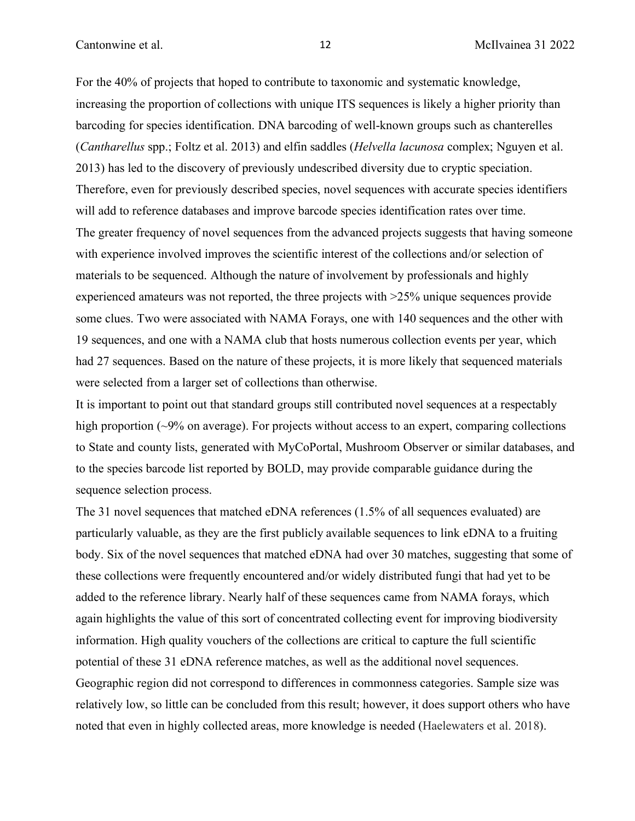For the 40% of projects that hoped to contribute to taxonomic and systematic knowledge, increasing the proportion of collections with unique ITS sequences is likely a higher priority than barcoding for species identification. DNA barcoding of well-known groups such as chanterelles (*Cantharellus* spp.; Foltz et al. 2013) and elfin saddles (*Helvella lacunosa* complex; Nguyen et al. 2013) has led to the discovery of previously undescribed diversity due to cryptic speciation. Therefore, even for previously described species, novel sequences with accurate species identifiers will add to reference databases and improve barcode species identification rates over time. The greater frequency of novel sequences from the advanced projects suggests that having someone with experience involved improves the scientific interest of the collections and/or selection of materials to be sequenced. Although the nature of involvement by professionals and highly experienced amateurs was not reported, the three projects with >25% unique sequences provide some clues. Two were associated with NAMA Forays, one with 140 sequences and the other with 19 sequences, and one with a NAMA club that hosts numerous collection events per year, which had 27 sequences. Based on the nature of these projects, it is more likely that sequenced materials were selected from a larger set of collections than otherwise.

It is important to point out that standard groups still contributed novel sequences at a respectably high proportion (~9% on average). For projects without access to an expert, comparing collections to State and county lists, generated with MyCoPortal, Mushroom Observer or similar databases, and to the species barcode list reported by BOLD, may provide comparable guidance during the sequence selection process.

The 31 novel sequences that matched eDNA references (1.5% of all sequences evaluated) are particularly valuable, as they are the first publicly available sequences to link eDNA to a fruiting body. Six of the novel sequences that matched eDNA had over 30 matches, suggesting that some of these collections were frequently encountered and/or widely distributed fungi that had yet to be added to the reference library. Nearly half of these sequences came from NAMA forays, which again highlights the value of this sort of concentrated collecting event for improving biodiversity information. High quality vouchers of the collections are critical to capture the full scientific potential of these 31 eDNA reference matches, as well as the additional novel sequences. Geographic region did not correspond to differences in commonness categories. Sample size was relatively low, so little can be concluded from this result; however, it does support others who have noted that even in highly collected areas, more knowledge is needed (Haelewaters et al. 2018).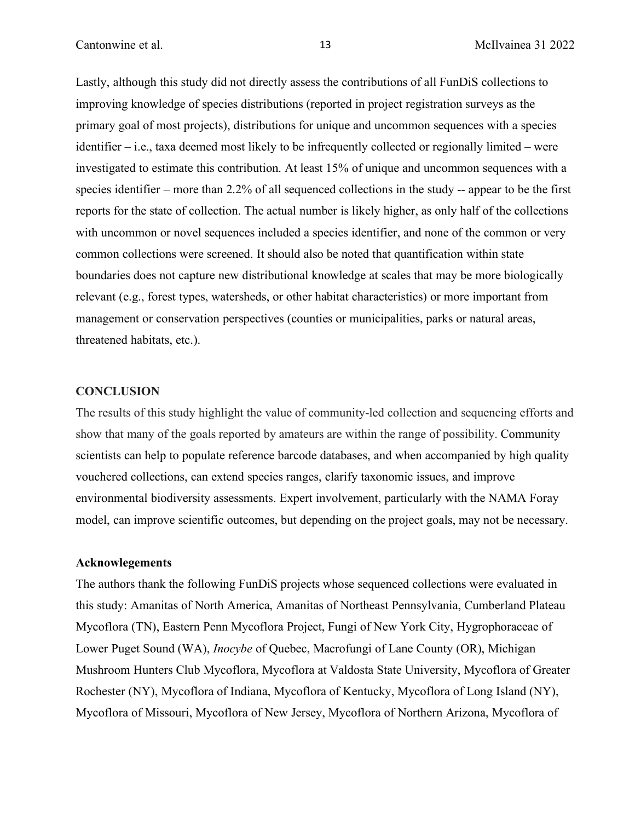Lastly, although this study did not directly assess the contributions of all FunDiS collections to improving knowledge of species distributions (reported in project registration surveys as the primary goal of most projects), distributions for unique and uncommon sequences with a species identifier – i.e., taxa deemed most likely to be infrequently collected or regionally limited – were investigated to estimate this contribution. At least 15% of unique and uncommon sequences with a species identifier – more than 2.2% of all sequenced collections in the study -- appear to be the first reports for the state of collection. The actual number is likely higher, as only half of the collections with uncommon or novel sequences included a species identifier, and none of the common or very common collections were screened. It should also be noted that quantification within state boundaries does not capture new distributional knowledge at scales that may be more biologically relevant (e.g., forest types, watersheds, or other habitat characteristics) or more important from management or conservation perspectives (counties or municipalities, parks or natural areas, threatened habitats, etc.).

#### **CONCLUSION**

The results of this study highlight the value of community-led collection and sequencing efforts and show that many of the goals reported by amateurs are within the range of possibility. Community scientists can help to populate reference barcode databases, and when accompanied by high quality vouchered collections, can extend species ranges, clarify taxonomic issues, and improve environmental biodiversity assessments. Expert involvement, particularly with the NAMA Foray model, can improve scientific outcomes, but depending on the project goals, may not be necessary.

#### **Acknowlegements**

The authors thank the following FunDiS projects whose sequenced collections were evaluated in this study: Amanitas of North America, Amanitas of Northeast Pennsylvania, Cumberland Plateau Mycoflora (TN), Eastern Penn Mycoflora Project, Fungi of New York City, Hygrophoraceae of Lower Puget Sound (WA), *Inocybe* of Quebec, Macrofungi of Lane County (OR), Michigan Mushroom Hunters Club Mycoflora, Mycoflora at Valdosta State University, Mycoflora of Greater Rochester (NY), Mycoflora of Indiana, Mycoflora of Kentucky, Mycoflora of Long Island (NY), Mycoflora of Missouri, Mycoflora of New Jersey, Mycoflora of Northern Arizona, Mycoflora of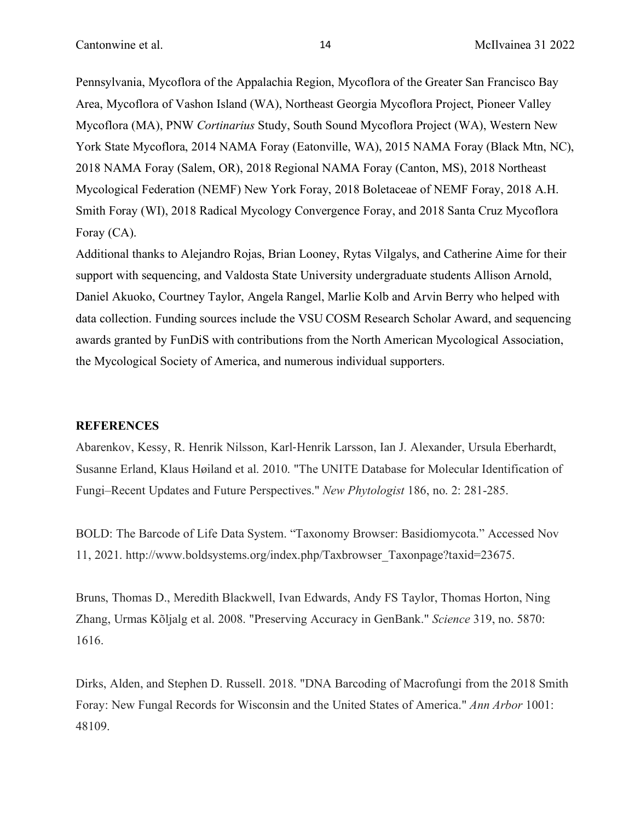Pennsylvania, Mycoflora of the Appalachia Region, Mycoflora of the Greater San Francisco Bay Area, Mycoflora of Vashon Island (WA), Northeast Georgia Mycoflora Project, Pioneer Valley Mycoflora (MA), PNW *Cortinarius* Study, South Sound Mycoflora Project (WA), Western New York State Mycoflora, 2014 NAMA Foray (Eatonville, WA), 2015 NAMA Foray (Black Mtn, NC), 2018 NAMA Foray (Salem, OR), 2018 Regional NAMA Foray (Canton, MS), 2018 Northeast Mycological Federation (NEMF) New York Foray, 2018 Boletaceae of NEMF Foray, 2018 A.H. Smith Foray (WI), 2018 Radical Mycology Convergence Foray, and 2018 Santa Cruz Mycoflora Foray (CA).

Additional thanks to Alejandro Rojas, Brian Looney, Rytas Vilgalys, and Catherine Aime for their support with sequencing, and Valdosta State University undergraduate students Allison Arnold, Daniel Akuoko, Courtney Taylor, Angela Rangel, Marlie Kolb and Arvin Berry who helped with data collection. Funding sources include the VSU COSM Research Scholar Award, and sequencing awards granted by FunDiS with contributions from the North American Mycological Association, the Mycological Society of America, and numerous individual supporters.

#### **REFERENCES**

Abarenkov, Kessy, R. Henrik Nilsson, Karl-Henrik Larsson, Ian J. Alexander, Ursula Eberhardt, Susanne Erland, Klaus Høiland et al. 2010. "The UNITE Database for Molecular Identification of Fungi–Recent Updates and Future Perspectives." *New Phytologist* 186, no. 2: 281-285.

BOLD: The Barcode of Life Data System. "Taxonomy Browser: Basidiomycota." Accessed Nov 11, 2021. http://www.boldsystems.org/index.php/Taxbrowser\_Taxonpage?taxid=23675.

Bruns, Thomas D., Meredith Blackwell, Ivan Edwards, Andy FS Taylor, Thomas Horton, Ning Zhang, Urmas Kõljalg et al. 2008. "Preserving Accuracy in GenBank." *Science* 319, no. 5870: 1616.

Dirks, Alden, and Stephen D. Russell. 2018. "DNA Barcoding of Macrofungi from the 2018 Smith Foray: New Fungal Records for Wisconsin and the United States of America." *Ann Arbor* 1001: 48109.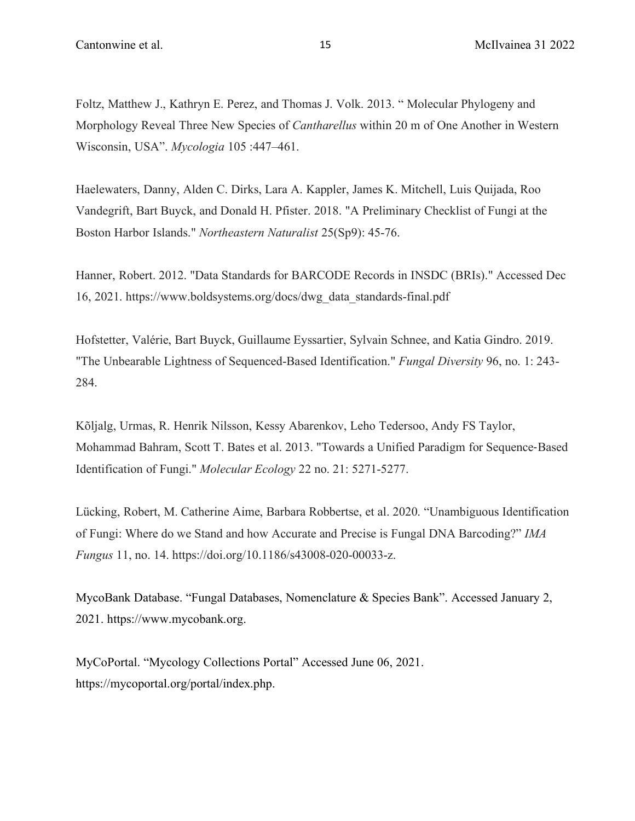Foltz, Matthew J., Kathryn E. Perez, and Thomas J. Volk. 2013. " Molecular Phylogeny and Morphology Reveal Three New Species of *Cantharellus* within 20 m of One Another in Western Wisconsin, USA". *Mycologia* 105 :447–461.

Haelewaters, Danny, Alden C. Dirks, Lara A. Kappler, James K. Mitchell, Luis Quijada, Roo Vandegrift, Bart Buyck, and Donald H. Pfister. 2018. "A Preliminary Checklist of Fungi at the Boston Harbor Islands." *Northeastern Naturalist* 25(Sp9): 45-76.

Hanner, Robert. 2012. "Data Standards for BARCODE Records in INSDC (BRIs)." Accessed Dec 16, 2021. https://www.boldsystems.org/docs/dwg\_data\_standards-final.pdf

Hofstetter, Valérie, Bart Buyck, Guillaume Eyssartier, Sylvain Schnee, and Katia Gindro. 2019. "The Unbearable Lightness of Sequenced-Based Identification." *Fungal Diversity* 96, no. 1: 243- 284.

Kõljalg, Urmas, R. Henrik Nilsson, Kessy Abarenkov, Leho Tedersoo, Andy FS Taylor, Mohammad Bahram, Scott T. Bates et al. 2013. "Towards a Unified Paradigm for Sequence-Based Identification of Fungi." *Molecular Ecology* 22 no. 21: 5271-5277.

Lücking, Robert, M. Catherine Aime, Barbara Robbertse, et al. 2020. "Unambiguous Identification of Fungi: Where do we Stand and how Accurate and Precise is Fungal DNA Barcoding?" *IMA Fungus* 11, no. 14. https://doi.org/10.1186/s43008-020-00033-z.

MycoBank Database. "Fungal Databases, Nomenclature & Species Bank". Accessed January 2, 2021. https://www.mycobank.org.

MyCoPortal. "Mycology Collections Portal" Accessed June 06, 2021. https://mycoportal.org/portal/index.php.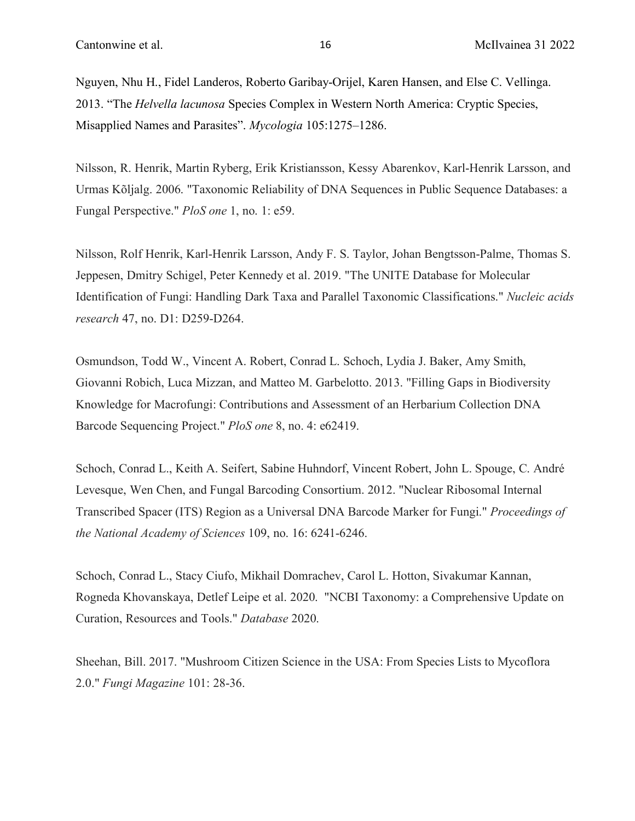Nguyen, Nhu H., Fidel Landeros, Roberto Garibay-Orijel, Karen Hansen, and Else C. Vellinga. 2013. "The *Helvella lacunosa* Species Complex in Western North America: Cryptic Species, Misapplied Names and Parasites". *Mycologia* 105:1275–1286.

Nilsson, R. Henrik, Martin Ryberg, Erik Kristiansson, Kessy Abarenkov, Karl-Henrik Larsson, and Urmas Kõljalg. 2006. "Taxonomic Reliability of DNA Sequences in Public Sequence Databases: a Fungal Perspective." *PloS one* 1, no. 1: e59.

Nilsson, Rolf Henrik, Karl-Henrik Larsson, Andy F. S. Taylor, Johan Bengtsson-Palme, Thomas S. Jeppesen, Dmitry Schigel, Peter Kennedy et al. 2019. "The UNITE Database for Molecular Identification of Fungi: Handling Dark Taxa and Parallel Taxonomic Classifications." *Nucleic acids research* 47, no. D1: D259-D264.

Osmundson, Todd W., Vincent A. Robert, Conrad L. Schoch, Lydia J. Baker, Amy Smith, Giovanni Robich, Luca Mizzan, and Matteo M. Garbelotto. 2013. "Filling Gaps in Biodiversity Knowledge for Macrofungi: Contributions and Assessment of an Herbarium Collection DNA Barcode Sequencing Project." *PloS one* 8, no. 4: e62419.

Schoch, Conrad L., Keith A. Seifert, Sabine Huhndorf, Vincent Robert, John L. Spouge, C. André Levesque, Wen Chen, and Fungal Barcoding Consortium. 2012. "Nuclear Ribosomal Internal Transcribed Spacer (ITS) Region as a Universal DNA Barcode Marker for Fungi." *Proceedings of the National Academy of Sciences* 109, no. 16: 6241-6246.

Schoch, Conrad L., Stacy Ciufo, Mikhail Domrachev, Carol L. Hotton, Sivakumar Kannan, Rogneda Khovanskaya, Detlef Leipe et al. 2020. "NCBI Taxonomy: a Comprehensive Update on Curation, Resources and Tools." *Database* 2020.

Sheehan, Bill. 2017. "Mushroom Citizen Science in the USA: From Species Lists to Mycoflora 2.0." *Fungi Magazine* 101: 28-36.